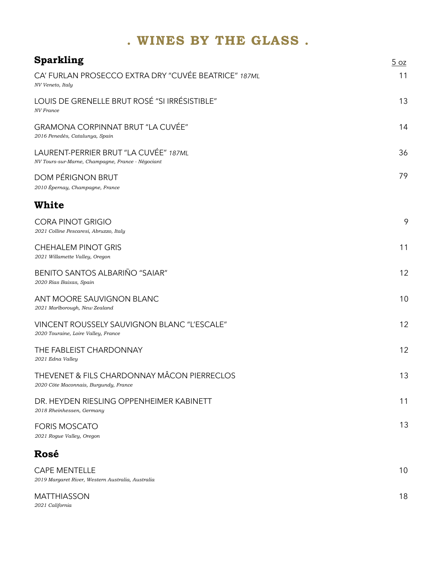# **. WINES BY THE GLASS .**

| <b>Sparkling</b>                                                                           | 5QZ |
|--------------------------------------------------------------------------------------------|-----|
| CA' FURLAN PROSECCO EXTRA DRY "CUVÉE BEATRICE" 187ML<br>NV Veneto, Italy                   | 11  |
| LOUIS DE GRENELLE BRUT ROSÉ "SI IRRÉSISTIBLE"<br><b>NV</b> France                          | 13  |
| <b>GRAMONA CORPINNAT BRUT "LA CUVÉE"</b><br>2016 Penedès, Catalunya, Spain                 | 14  |
| LAURENT-PERRIER BRUT "LA CUVÉE" 187ML<br>NV Tours-sur-Marne, Champagne, France - Négociant | 36  |
| <b>DOM PÉRIGNON BRUT</b><br>2010 Épernay, Champagne, France                                | 79  |
| <b>White</b>                                                                               |     |
| <b>CORA PINOT GRIGIO</b><br>2021 Colline Pescaresi, Abruzzo, Italy                         | 9   |
| <b>CHEHALEM PINOT GRIS</b><br>2021 Willamette Valley, Oregon                               | 11  |
| <b>BENITO SANTOS ALBARIÑO "SAIAR"</b><br>2020 Rias Baixas, Spain                           | 12  |
| ANT MOORE SAUVIGNON BLANC<br>2021 Marlborough, New Zealand                                 | 10  |
| VINCENT ROUSSELY SAUVIGNON BLANC "L'ESCALE"<br>2020 Touraine, Loire Valley, France         | 12  |
| THE FABLEIST CHARDONNAY<br>2021 Edna Valley                                                | 12  |
| THEVENET & FILS CHARDONNAY MÂCON PIERRECLOS<br>2020 Côte Maconnais, Burgundy, France       | 13  |
| DR. HEYDEN RIESLING OPPENHEIMER KABINETT<br>2018 Rheinhessen, Germany                      | 11  |
| <b>FORIS MOSCATO</b><br>2021 Rogue Valley, Oregon                                          | 13  |
| Rosé                                                                                       |     |
| <b>CAPE MENTELLE</b><br>2019 Margaret River, Western Australia, Australia                  | 10  |
| <b>MATTHIASSON</b>                                                                         | 18  |

*2021 California*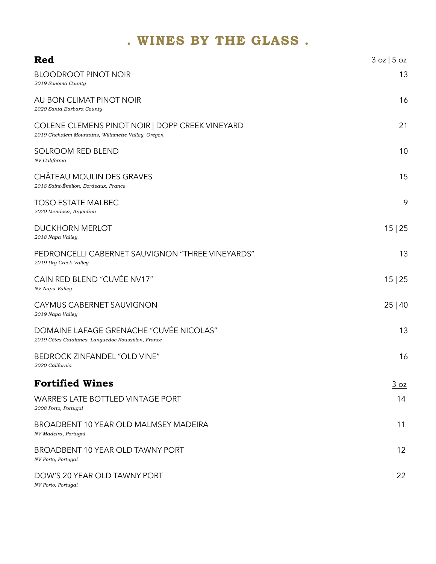### **. WINES BY THE GLASS .**

| Red                                                                                                   | 3 oz   5 oz |
|-------------------------------------------------------------------------------------------------------|-------------|
| <b>BLOODROOT PINOT NOIR</b><br>2019 Sonoma County                                                     | 13          |
| AU BON CLIMAT PINOT NOIR<br>2020 Santa Barbara County                                                 | 16          |
| COLENE CLEMENS PINOT NOIR   DOPP CREEK VINEYARD<br>2019 Chehalem Mountains, Willamette Valley, Oregon | 21          |
| <b>SOLROOM RED BLEND</b><br>NV California                                                             | 10          |
| CHÂTEAU MOULIN DES GRAVES<br>2018 Saint-Émilion, Bordeaux, France                                     | 15          |
| <b>TOSO ESTATE MALBEC</b><br>2020 Mendoza, Argentina                                                  | 9           |
| <b>DUCKHORN MERLOT</b><br>2018 Napa Valley                                                            | 15 25       |
| PEDRONCELLI CABERNET SAUVIGNON "THREE VINEYARDS"<br>2019 Dry Creek Valley                             | 13          |
| CAIN RED BLEND "CUVÉE NV17"<br>NV Napa Valley                                                         | 15 25       |
| CAYMUS CABERNET SAUVIGNON<br>2019 Napa Valley                                                         | 25 40       |
| DOMAINE LAFAGE GRENACHE "CUVÉE NICOLAS"<br>2019 Côtes Catalanes, Languedoc-Roussillon, France         | 13          |
| <b>BEDROCK ZINFANDEL "OLD VINE"</b><br>2020 California                                                | 16          |
| <b>Fortified Wines</b>                                                                                | 3 oz        |
| <b>WARRE'S LATE BOTTLED VINTAGE PORT</b><br>2008 Porto, Portugal                                      | 14          |
| BROADBENT 10 YEAR OLD MALMSEY MADEIRA<br>NV Madeira, Portugal                                         | 11          |
| <b>BROADBENT 10 YEAR OLD TAWNY PORT</b><br>NV Porto, Portugal                                         | 12          |
| DOW'S 20 YEAR OLD TAWNY PORT<br>NV Porto, Portugal                                                    | 22          |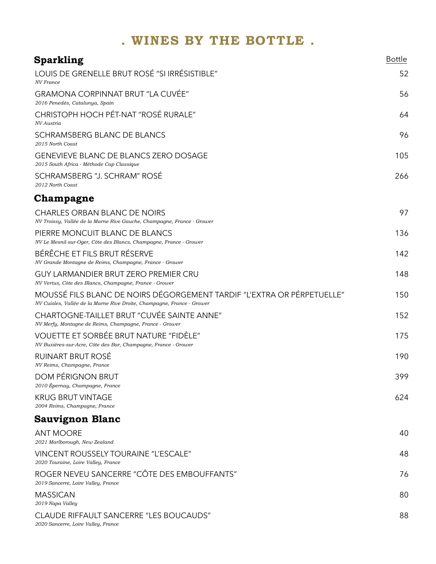| <b>Sparkling</b>                                                                                                                                 | <b>Bottle</b> |
|--------------------------------------------------------------------------------------------------------------------------------------------------|---------------|
| LOUIS DE GRENELLE BRUT ROSÉ "SI IRRÉSISTIBLE"<br>NV France                                                                                       | 52            |
| GRAMONA CORPINNAT BRUT "LA CUVÉE"<br>2016 Penedès, Catalunya, Spain                                                                              | 56            |
| CHRISTOPH HOCH PÉT-NAT "ROSÉ RURALE"<br>NV Austria                                                                                               | 64            |
| <b>SCHRAMSBERG BLANC DE BLANCS</b><br>2015 North Coast                                                                                           | 96            |
| <b>GENEVIEVE BLANC DE BLANCS ZERO DOSAGE</b><br>2015 South Africa - Méthode Cap Classique                                                        | 105           |
| SCHRAMSBERG "J. SCHRAM" ROSÉ<br>2012 North Coast                                                                                                 | 266           |
| Champagne                                                                                                                                        |               |
| <b>CHARLES ORBAN BLANC DE NOIRS</b><br>NV Troissy, Vallée de la Marne Rive Gauche, Champagne, France - Grower                                    | 97            |
| PIERRE MONCUIT BLANC DE BLANCS<br>NV Le Mesnil-sur-Oger, Côte des Blancs, Champagne, France - Grower                                             | 136           |
| BÉRÊCHE ET FILS BRUT RÉSERVE<br>NV Grande Montagne de Reims, Champagne, France - Grower                                                          | 142           |
| <b>GUY LARMANDIER BRUT ZERO PREMIER CRU</b><br>NV Vertus, Côte des Blancs, Champagne, France - Grower                                            | 148           |
| MOUSSÉ FILS BLANC DE NOIRS DÉGORGEMENT TARDIF "L'EXTRA OR PÉRPETUELLE"<br>NV Cuisles, Vallée de la Marne Rive Droite, Champagne, France - Grower | 150           |
| CHARTOGNE-TAILLET BRUT "CUVÉE SAINTE ANNE"<br>NV Merfy, Montagne de Reims, Champagne, France - Grower                                            | 152           |
| VOUETTE ET SORBÉE BRUT NATURE "FIDÈLE"<br>NV Buxières-sur-Acre, Côte des Bar, Champagne, France - Grower                                         | 175           |
| RUINART BRUT ROSÉ<br>NV Reims, Champagne, France                                                                                                 | 190           |
| DOM PÉRIGNON BRUT<br>2010 Épernay, Champagne, France                                                                                             | 399           |
| <b>KRUG BRUT VINTAGE</b><br>2004 Reims, Champagne, France                                                                                        | 624           |
| <b>Sauvignon Blanc</b>                                                                                                                           |               |
| <b>ANT MOORE</b><br>2021 Marlborough, New Zealand                                                                                                | 40            |
| VINCENT ROUSSELY TOURAINE "L'ESCALE"<br>2020 Touraine, Loire Valley, France                                                                      | 48            |
| ROGER NEVEU SANCERRE "CÔTE DES EMBOUFFANTS"<br>2019 Sancerre, Loire Valley, France                                                               | 76            |
| <b>MASSICAN</b><br>2019 Napa Valley                                                                                                              | 80            |
| CLAUDE RIFFAULT SANCERRE "LES BOUCAUDS"<br>2020 Sancerre, Loire Valley, France                                                                   | 88            |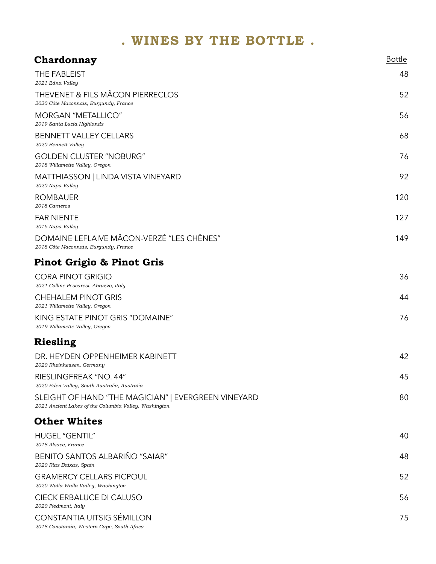| Chardonnay                                                                                                   | <b>Bottle</b> |
|--------------------------------------------------------------------------------------------------------------|---------------|
| THE FABLEIST<br>2021 Edna Valley                                                                             | 48            |
| <b>THEVENET &amp; FILS MÂCON PIERRECLOS</b><br>2020 Côte Maconnais, Burgundy, France                         | 52            |
| <b>MORGAN "METALLICO"</b><br>2019 Santa Lucia Highlands                                                      | 56            |
| <b>BENNETT VALLEY CELLARS</b><br>2020 Bennett Valley                                                         | 68            |
| <b>GOLDEN CLUSTER "NOBURG"</b><br>2018 Willamette Valley, Oregon                                             | 76            |
| MATTHIASSON   LINDA VISTA VINEYARD<br>2020 Napa Valley                                                       | 92            |
| <b>ROMBAUER</b><br>2018 Carneros                                                                             | 120           |
| <b>FAR NIENTE</b><br>2016 Napa Valley                                                                        | 127           |
| DOMAINE LEFLAIVE MÂCON-VERZÉ "LES CHÊNES"<br>2018 Côte Maconnais, Burgundy, France                           | 149           |
| Pinot Grigio & Pinot Gris                                                                                    |               |
| <b>CORA PINOT GRIGIO</b><br>2021 Colline Pescaresi, Abruzzo, Italy                                           | 36            |
| <b>CHEHALEM PINOT GRIS</b><br>2021 Willamette Valley, Oregon                                                 | 44            |
| KING ESTATE PINOT GRIS "DOMAINE"<br>2019 Willamette Valley, Oregon                                           | 76            |
| Riesling                                                                                                     |               |
| DR. HEYDEN OPPENHEIMER KABINETT<br>2020 Rheinhessen, Germany                                                 | 42            |
| RIESLINGFREAK "NO. 44"<br>2020 Eden Valley, South Australia, Australia                                       | 45            |
| SLEIGHT OF HAND "THE MAGICIAN"   EVERGREEN VINEYARD<br>2021 Ancient Lakes of the Columbia Valley, Washington | 80            |
| <b>Other Whites</b>                                                                                          |               |
| <b>HUGEL "GENTIL"</b><br>2018 Alsace, France                                                                 | 40            |
| <b>BENITO SANTOS ALBARIÑO "SAIAR"</b><br>2020 Rias Baixas, Spain                                             | 48            |
| <b>GRAMERCY CELLARS PICPOUL</b><br>2020 Walla Walla Valley, Washington                                       | 52            |
| CIECK ERBALUCE DI CALUSO<br>2020 Piedmont, Italy                                                             | 56            |
| CONSTANTIA UITSIG SÉMILLON<br>2018 Constantia, Western Cape, South Africa                                    | 75            |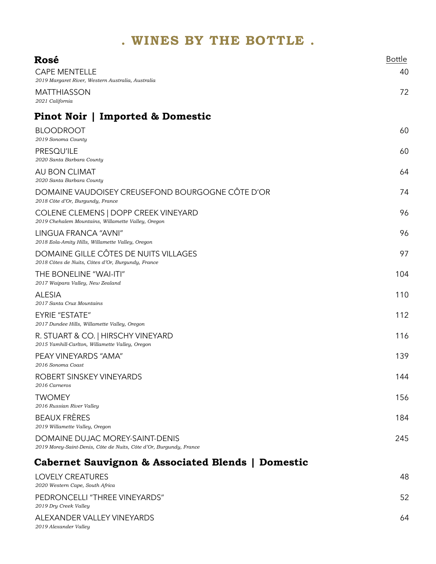| Rosé                                                                                                  | <b>Bottle</b> |
|-------------------------------------------------------------------------------------------------------|---------------|
| <b>CAPE MENTELLE</b>                                                                                  | 40            |
| 2019 Margaret River, Western Australia, Australia                                                     |               |
| <b>MATTHIASSON</b><br>2021 California                                                                 | 72            |
| Pinot Noir   Imported & Domestic                                                                      |               |
| <b>BLOODROOT</b><br>2019 Sonoma County                                                                | 60            |
| PRESQU'ILE<br>2020 Santa Barbara County                                                               | 60            |
| AU BON CLIMAT<br>2020 Santa Barbara County                                                            | 64            |
| DOMAINE VAUDOISEY CREUSEFOND BOURGOGNE CÔTE D'OR<br>2018 Côte d'Or, Burgundy, France                  | 74            |
| COLENE CLEMENS   DOPP CREEK VINEYARD<br>2019 Chehalem Mountains, Willamette Valley, Oregon            | 96            |
| LINGUA FRANCA "AVNI"<br>2018 Eola-Amity Hills, Willamette Valley, Oregon                              | 96            |
| DOMAINE GILLE CÔTES DE NUITS VILLAGES<br>2018 Côtes de Nuits, Côtes d'Or, Burgundy, France            | 97            |
| THE BONELINE "WAI-ITI"<br>2017 Waipara Valley, New Zealand                                            | 104           |
| <b>ALESIA</b><br>2017 Santa Cruz Mountains                                                            | 110           |
| <b>EYRIE "ESTATE"</b><br>2017 Dundee Hills, Willamette Valley, Oregon                                 | 112           |
| R. STUART & CO.   HIRSCHY VINEYARD<br>2015 Yamhill-Carlton, Willamette Valley, Oregon                 | 116           |
| PEAY VINEYARDS "AMA"<br>2016 Sonoma Coast                                                             | 139           |
| ROBERT SINSKEY VINEYARDS<br>2016 Carneros                                                             | 144           |
| TWOMEY<br>2016 Russian River Valley                                                                   | 156           |
| <b>BEAUX FRÈRES</b><br>2019 Willamette Valley, Oregon                                                 | 184           |
| DOMAINE DUJAC MOREY-SAINT-DENIS<br>2019 Morey-Saint-Denis, Côte de Nuits, Côte d'Or, Burgundy, France | 245           |
| Cabernet Sauvignon & Associated Blends   Domestic                                                     |               |
| <b>LOVELY CREATURES</b><br>2020 Western Cape, South Africa                                            | 48            |
| PEDRONCELLI "THREE VINEYARDS"<br>2019 Dry Creek Valley                                                | 52            |
| ALEXANDER VALLEY VINEYARDS<br>2019 Alexander Valley                                                   | 64            |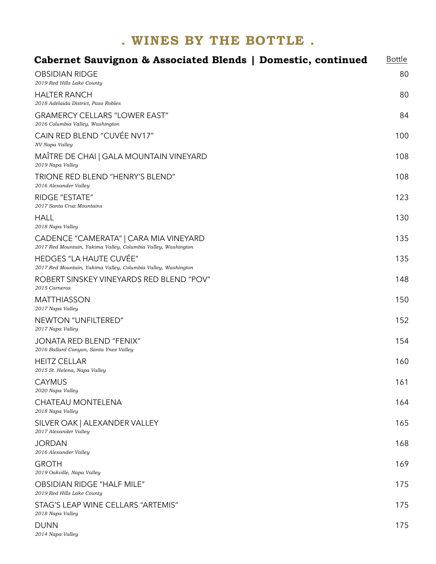| Cabernet Sauvignon & Associated Blends   Domestic, continued                                            | <b>Bottle</b> |
|---------------------------------------------------------------------------------------------------------|---------------|
| <b>OBSIDIAN RIDGE</b><br>2019 Red Hills Lake County                                                     | 80            |
| <b>HALTER RANCH</b><br>2018 Adelaida District, Paso Robles                                              | 80            |
| <b>GRAMERCY CELLARS "LOWER EAST"</b><br>2016 Columbia Valley, Washington                                | 84            |
| CAIN RED BLEND "CUVÉE NV17"<br>NV Napa Valley                                                           | 100           |
| MAÎTRE DE CHAI   GALA MOUNTAIN VINEYARD<br>2019 Napa Valley                                             | 108           |
| TRIONE RED BLEND "HENRY'S BLEND"<br>2016 Alexander Valley                                               | 108           |
| <b>RIDGE "ESTATE"</b><br>2017 Santa Cruz Mountains                                                      | 123           |
| <b>HALL</b><br>2018 Napa Valley                                                                         | 130           |
| CADENCE "CAMERATA"   CARA MIA VINEYARD<br>2017 Red Mountain, Yakima Valley, Columbia Valley, Washington | 135           |
| <b>HEDGES "LA HAUTE CUVÉE"</b><br>2017 Red Mountain, Yakima Valley, Columbia Valley, Washington         | 135           |
| ROBERT SINSKEY VINEYARDS RED BLEND "POV"<br>2015 Carneros                                               | 148           |
| <b>MATTHIASSON</b><br>2017 Napa Valley                                                                  | 150           |
| NEWTON "UNFILTERED"<br>2017 Napa Valley                                                                 | 152           |
| <b>JONATA RED BLEND "FENIX"</b><br>2016 Ballard Canyon, Santa Ynez Valley                               | 154           |
| <b>HEITZ CELLAR</b><br>2015 St. Helena, Napa Valley                                                     | 160           |
| <b>CAYMUS</b><br>2020 Napa Valley                                                                       | 161           |
| <b>CHATEAU MONTELENA</b><br>2018 Napa Valley                                                            | 164           |
| SILVER OAK   ALEXANDER VALLEY<br>2017 Alexander Valley                                                  | 165           |
| <b>JORDAN</b><br>2016 Alexander Valley                                                                  | 168           |
| <b>GROTH</b><br>2019 Oakville, Napa Valley                                                              | 169           |
| <b>OBSIDIAN RIDGE "HALF MILE"</b><br>2019 Red Hills Lake County                                         | 175           |
| STAG'S LEAP WINE CELLARS "ARTEMIS"<br>2018 Napa Valley                                                  | 175           |
| <b>DUNN</b><br>2014 Napa Valley                                                                         | 175           |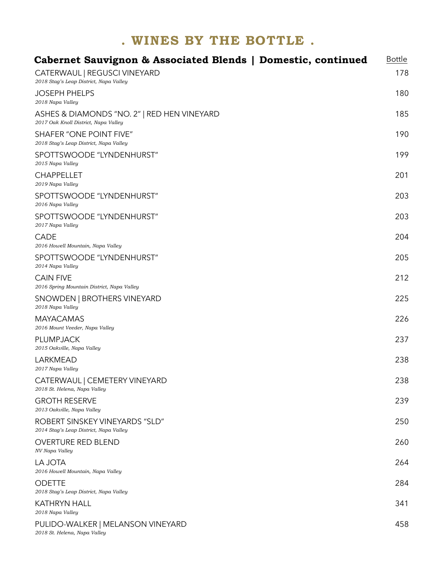| Cabernet Sauvignon & Associated Blends   Domestic, continued                        | <b>Bottle</b> |
|-------------------------------------------------------------------------------------|---------------|
| CATERWAUL   REGUSCI VINEYARD<br>2018 Stag's Leap District, Napa Valley              | 178           |
| <b>JOSEPH PHELPS</b><br>2018 Napa Valley                                            | 180           |
| ASHES & DIAMONDS "NO. 2"   RED HEN VINEYARD<br>2017 Oak Knoll District, Napa Valley | 185           |
| <b>SHAFER "ONE POINT FIVE"</b><br>2018 Stag's Leap District, Napa Valley            | 190           |
| SPOTTSWOODE "LYNDENHURST"<br>2015 Napa Valley                                       | 199           |
| <b>CHAPPELLET</b><br>2019 Napa Valley                                               | 201           |
| SPOTTSWOODE "LYNDENHURST"<br>2016 Napa Valley                                       | 203           |
| SPOTTSWOODE "LYNDENHURST"<br>2017 Napa Valley                                       | 203           |
| <b>CADE</b><br>2016 Howell Mountain, Napa Valley                                    | 204           |
| SPOTTSWOODE "LYNDENHURST"<br>2014 Napa Valley                                       | 205           |
| <b>CAIN FIVE</b><br>2016 Spring Mountain District, Napa Valley                      | 212           |
| SNOWDEN   BROTHERS VINEYARD<br>2018 Napa Valley                                     | 225           |
| <b>MAYACAMAS</b><br>2016 Mount Veeder, Napa Valley                                  | 226           |
| <b>PLUMPJACK</b><br>2015 Oakville, Napa Valley                                      | 237           |
| <b>LARKMEAD</b><br>2017 Napa Valley                                                 | 238           |
| CATERWAUL   CEMETERY VINEYARD<br>2018 St. Helena, Napa Valley                       | 238           |
| <b>GROTH RESERVE</b><br>2013 Oakville, Napa Valley                                  | 239           |
| ROBERT SINSKEY VINEYARDS "SLD"<br>2014 Stag's Leap District, Napa Valley            | 250           |
| <b>OVERTURE RED BLEND</b><br>NV Napa Valley                                         | 260           |
| <b>LA JOTA</b><br>2016 Howell Mountain, Napa Valley                                 | 264           |
| <b>ODETTE</b><br>2018 Stag's Leap District, Napa Valley                             | 284           |
| <b>KATHRYN HALL</b><br>2018 Napa Valley                                             | 341           |
| PULIDO-WALKER   MELANSON VINEYARD<br>2018 St. Helena, Napa Valley                   | 458           |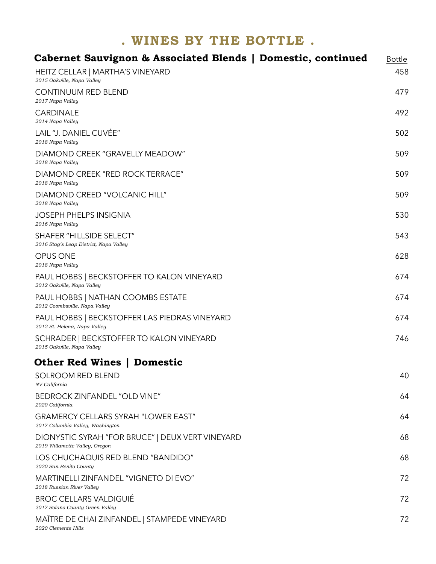| Cabernet Sauvignon & Associated Blends   Domestic, continued                       | <b>Bottle</b> |
|------------------------------------------------------------------------------------|---------------|
| HEITZ CELLAR   MARTHA'S VINEYARD<br>2015 Oakville, Napa Valley                     | 458           |
| <b>CONTINUUM RED BLEND</b><br>2017 Napa Valley                                     | 479           |
| <b>CARDINALE</b><br>2014 Napa Valley                                               | 492           |
| LAIL "J. DANIEL CUVÉE"<br>2018 Napa Valley                                         | 502           |
| DIAMOND CREEK "GRAVELLY MEADOW"<br>2018 Napa Valley                                | 509           |
| DIAMOND CREEK "RED ROCK TERRACE"<br>2018 Napa Valley                               | 509           |
| DIAMOND CREED "VOLCANIC HILL"<br>2018 Napa Valley                                  | 509           |
| <b>JOSEPH PHELPS INSIGNIA</b><br>2016 Napa Valley                                  | 530           |
| <b>SHAFER "HILLSIDE SELECT"</b><br>2016 Stag's Leap District, Napa Valley          | 543           |
| <b>OPUS ONE</b><br>2018 Napa Valley                                                | 628           |
| PAUL HOBBS   BECKSTOFFER TO KALON VINEYARD<br>2012 Oakville, Napa Valley           | 674           |
| PAUL HOBBS   NATHAN COOMBS ESTATE<br>2012 Coombsville, Napa Valley                 | 674           |
| PAUL HOBBS   BECKSTOFFER LAS PIEDRAS VINEYARD<br>2012 St. Helena, Napa Valley      | 674           |
| SCHRADER   BECKSTOFFER TO KALON VINEYARD<br>2015 Oakville, Napa Valley             | 746           |
| <b>Other Red Wines   Domestic</b>                                                  |               |
| <b>SOLROOM RED BLEND</b><br>NV California                                          | 40            |
| <b>BEDROCK ZINFANDEL "OLD VINE"</b><br>2020 California                             | 64            |
| <b>GRAMERCY CELLARS SYRAH "LOWER EAST"</b><br>2017 Columbia Valley, Washington     | 64            |
| DIONYSTIC SYRAH "FOR BRUCE"   DEUX VERT VINEYARD<br>2019 Willamette Valley, Oregon | 68            |
| LOS CHUCHAQUIS RED BLEND "BANDIDO"<br>2020 San Benito County                       | 68            |
| <b>MARTINELLI ZINFANDEL "VIGNETO DI EVO"</b><br>2018 Russian River Valley          | 72            |
| <b>BROC CELLARS VALDIGUIÉ</b><br>2017 Solano County Green Valley                   | 72            |
| MAÎTRE DE CHAI ZINFANDEL   STAMPEDE VINEYARD<br>2020 Clements Hills                | 72            |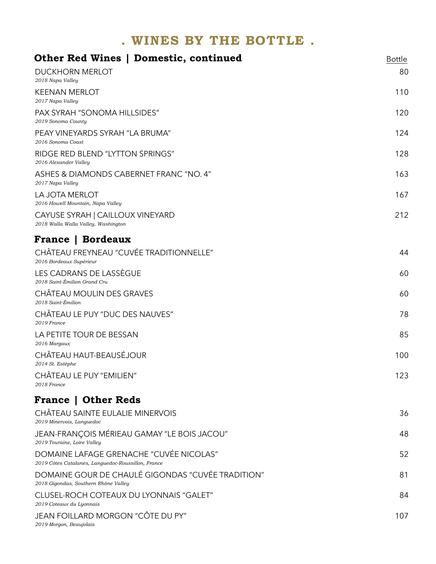| <b>Other Red Wines   Domestic, continued</b>                                                  | <b>Bottle</b> |
|-----------------------------------------------------------------------------------------------|---------------|
| <b>DUCKHORN MERLOT</b><br>2018 Napa Valley                                                    | 80            |
| <b>KEENAN MERLOT</b><br>2017 Napa Valley                                                      | 110           |
| <b>PAX SYRAH "SONOMA HILLSIDES"</b><br>2019 Sonoma County                                     | 120           |
| PEAY VINEYARDS SYRAH "LA BRUMA"<br>2016 Sonoma Coast                                          | 124           |
| RIDGE RED BLEND "LYTTON SPRINGS"<br>2016 Alexander Valley                                     | 128           |
| ASHES & DIAMONDS CABERNET FRANC "NO. 4"<br>2017 Napa Valley                                   | 163           |
| LA JOTA MERLOT<br>2016 Howell Mountain, Napa Valley                                           | 167           |
| CAYUSE SYRAH   CAILLOUX VINEYARD<br>2018 Walla Walla Valley, Washington                       | 212           |
| <b>France   Bordeaux</b>                                                                      |               |
| CHÂTEAU FREYNEAU "CUVÉE TRADITIONNELLE"<br>2016 Bordeaux Supérieur                            | 44            |
| LES CADRANS DE LASSÈGUE<br>2018 Saint-Émilion Grand Cru                                       | 60            |
| CHÂTEAU MOULIN DES GRAVES<br>2018 Saint-Émilion                                               | 60            |
| CHÂTEAU LE PUY "DUC DES NAUVES"<br>2019 France                                                | 78            |
| LA PETITE TOUR DE BESSAN<br>2016 Margaux                                                      | 85            |
| CHÂTEAU HAUT-BEAUSÉJOUR<br>2014 St. Estèphe                                                   | 100           |
| CHÂTEAU LE PUY "EMILIEN"<br>2018 France                                                       | 123           |
| <b>France   Other Reds</b>                                                                    |               |
| CHÂTEAU SAINTE EULALIE MINERVOIS<br>2019 Minervois, Languedoc                                 | 36            |
| JEAN-FRANÇOIS MÉRIEAU GAMAY "LE BOIS JACOU"<br>2019 Touraine, Loire Valley                    | 48            |
| DOMAINE LAFAGE GRENACHE "CUVÉE NICOLAS"<br>2019 Côtes Catalanes, Languedoc-Roussillon, France | 52            |
| DOMAINE GOUR DE CHAULÉ GIGONDAS "CUVÉE TRADITION"<br>2018 Gigondas, Southern Rhône Valley     | 81            |
| CLUSEL-ROCH COTEAUX DU LYONNAIS "GALET"<br>2019 Coteaux du Lyonnais                           | 84            |
| JEAN FOILLARD MORGON "CÔTE DU PY"<br>2019 Morgon, Beaujolais                                  | 107           |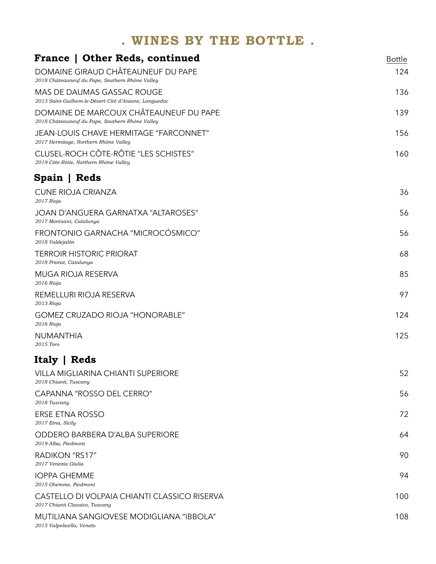| <b>France   Other Reds, continued</b>                                                     | <b>Bottle</b> |
|-------------------------------------------------------------------------------------------|---------------|
| DOMAINE GIRAUD CHÂTEAUNEUF DU PAPE<br>2018 Châteauneuf du Pape, Southern Rhône Valley     | 124           |
| MAS DE DAUMAS GASSAC ROUGE<br>2013 Saint-Guilhem-le-Désert Cité d'Aniane, Languedoc       | 136           |
| DOMAINE DE MARCOUX CHÂTEAUNEUF DU PAPE<br>2018 Châteauneuf du Pape, Southern Rhône Valley | 139           |
| <b>JEAN-LOUIS CHAVE HERMITAGE "FARCONNET"</b><br>2017 Hermitage, Northern Rhône Valley    | 156           |
| CLUSEL-ROCH CÔTE-RÔTIE "LES SCHISTES"<br>2019 Côte-Rôtie, Northern Rhône Valley           | 160           |
| Spain   Reds                                                                              |               |
| <b>CUNE RIOJA CRIANZA</b><br>2017 Rioja                                                   | 36            |
| <b>JOAN D'ANGUERA GARNATXA "ALTAROSES"</b><br>2017 Montsant, Catalunya                    | 56            |
| FRONTONIO GARNACHA "MICROCÓSMICO"<br>2018 Valdejalón                                      | 56            |
| <b>TERROIR HISTORIC PRIORAT</b><br>2018 Priorat, Catalunya                                | 68            |
| MUGA RIOJA RESERVA<br>2016 Rioja                                                          | 85            |
| REMELLURI RIOJA RESERVA<br>2013 Rioja                                                     | 97            |
| <b>GOMEZ CRUZADO RIOJA "HONORABLE"</b><br>2016 Rioja                                      | 124           |
| <b>NUMANTHIA</b><br>2015 Toro                                                             | 125           |
| Italy   Reds                                                                              |               |
| <b>VILLA MIGLIARINA CHIANTI SUPERIORE</b><br>2018 Chianti, Tuscany                        | 52            |
| CAPANNA "ROSSO DEL CERRO"<br>2018 Tuscany                                                 | 56            |
| <b>ERSE ETNA ROSSO</b><br>2017 Etna, Sicily                                               | 72            |
| ODDERO BARBERA D'ALBA SUPERIORE<br>2019 Alba, Piedmont                                    | 64            |
| RADIKON "RS17"<br>2017 Venezia Giulia                                                     | 90            |
| <b>IOPPA GHEMME</b><br>2015 Ghemme, Piedmont                                              | 94            |
| CASTELLO DI VOLPAIA CHIANTI CLASSICO RISERVA<br>2017 Chianti Classico, Tuscany            | 100           |
| MUTILIANA SANGIOVESE MODIGLIANA "IBBOLA"<br>2015 Valpolicella, Veneto                     | 108           |